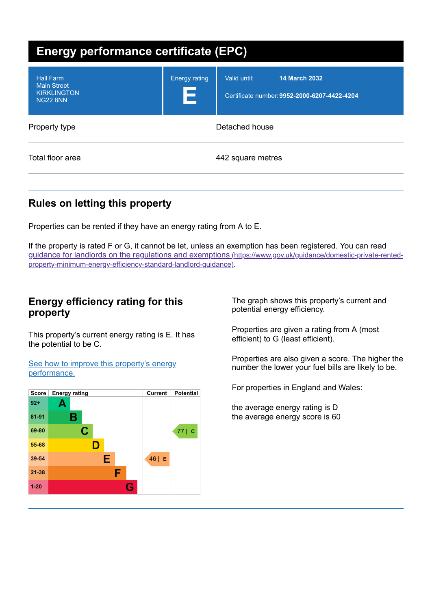| <b>Energy performance certificate (EPC)</b>                                     |                           |                                                                                      |
|---------------------------------------------------------------------------------|---------------------------|--------------------------------------------------------------------------------------|
| <b>Hall Farm</b><br><b>Main Street</b><br><b>KIRKLINGTON</b><br><b>NG22 8NN</b> | <b>Energy rating</b><br>Е | <b>14 March 2032</b><br>Valid until:<br>Certificate number: 9952-2000-6207-4422-4204 |
| Property type                                                                   |                           | Detached house                                                                       |
| Total floor area                                                                |                           | 442 square metres                                                                    |

# **Rules on letting this property**

Properties can be rented if they have an energy rating from A to E.

If the property is rated F or G, it cannot be let, unless an exemption has been registered. You can read guidance for landlords on the regulations and exemptions (https://www.gov.uk/guidance/domestic-private-rentedproperty-minimum-energy-efficiency-standard-landlord-guidance).

## **Energy efficiency rating for this property**

This property's current energy rating is E. It has the potential to be C.

See how to improve this property's energy performance.



The graph shows this property's current and potential energy efficiency.

Properties are given a rating from A (most efficient) to G (least efficient).

Properties are also given a score. The higher the number the lower your fuel bills are likely to be.

For properties in England and Wales:

the average energy rating is D the average energy score is 60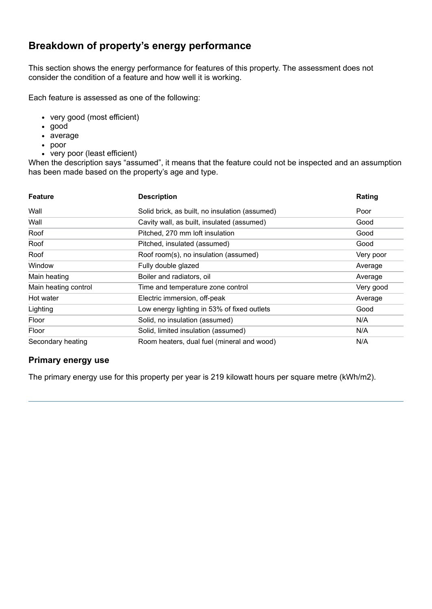# **Breakdown of property's energy performance**

This section shows the energy performance for features of this property. The assessment does not consider the condition of a feature and how well it is working.

Each feature is assessed as one of the following:

- very good (most efficient)
- good
- average
- poor
- very poor (least efficient)

When the description says "assumed", it means that the feature could not be inspected and an assumption has been made based on the property's age and type.

| <b>Feature</b>       | <b>Description</b>                             | Rating    |
|----------------------|------------------------------------------------|-----------|
| Wall                 | Solid brick, as built, no insulation (assumed) | Poor      |
| Wall                 | Cavity wall, as built, insulated (assumed)     | Good      |
| Roof                 | Pitched, 270 mm loft insulation                | Good      |
| Roof                 | Pitched, insulated (assumed)                   | Good      |
| Roof                 | Roof room(s), no insulation (assumed)          | Very poor |
| Window               | Fully double glazed                            | Average   |
| Main heating         | Boiler and radiators, oil                      | Average   |
| Main heating control | Time and temperature zone control              | Very good |
| Hot water            | Electric immersion, off-peak                   | Average   |
| Lighting             | Low energy lighting in 53% of fixed outlets    | Good      |
| Floor                | Solid, no insulation (assumed)                 | N/A       |
| Floor                | Solid, limited insulation (assumed)            | N/A       |
| Secondary heating    | Room heaters, dual fuel (mineral and wood)     | N/A       |

#### **Primary energy use**

The primary energy use for this property per year is 219 kilowatt hours per square metre (kWh/m2).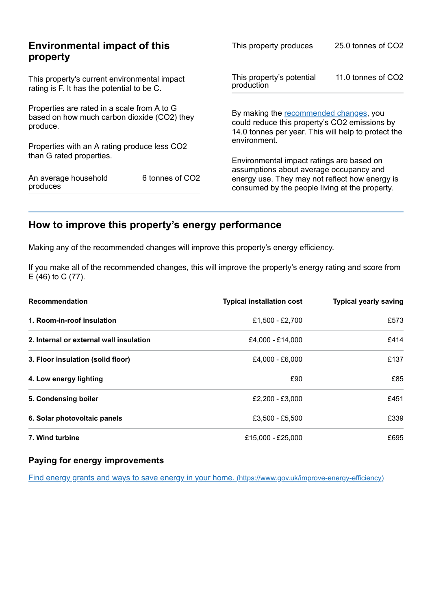|                                                                                                        | This property produces                                                                                                                                                                               | 25.0 tonnes of CO2                                                                                                                             |  |
|--------------------------------------------------------------------------------------------------------|------------------------------------------------------------------------------------------------------------------------------------------------------------------------------------------------------|------------------------------------------------------------------------------------------------------------------------------------------------|--|
|                                                                                                        | This property's potential<br>production                                                                                                                                                              | 11.0 tonnes of CO2                                                                                                                             |  |
| Properties are rated in a scale from A to G<br>based on how much carbon dioxide (CO2) they<br>produce. |                                                                                                                                                                                                      | By making the recommended changes, you<br>could reduce this property's CO2 emissions by<br>14.0 tonnes per year. This will help to protect the |  |
|                                                                                                        | environment.                                                                                                                                                                                         |                                                                                                                                                |  |
|                                                                                                        | Environmental impact ratings are based on<br>assumptions about average occupancy and<br>energy use. They may not reflect how energy is<br>consumed by the people living at the property.             |                                                                                                                                                |  |
|                                                                                                        | <b>Environmental impact of this</b><br>This property's current environmental impact<br>rating is F. It has the potential to be C.<br>Properties with an A rating produce less CO2<br>6 tonnes of CO2 |                                                                                                                                                |  |

# **How to improve this property's energy performance**

Making any of the recommended changes will improve this property's energy efficiency.

If you make all of the recommended changes, this will improve the property's energy rating and score from E (46) to C (77).

| <b>Recommendation</b>                   | <b>Typical installation cost</b> | <b>Typical yearly saving</b> |
|-----------------------------------------|----------------------------------|------------------------------|
| 1. Room-in-roof insulation              | £1.500 - £2.700                  | £573                         |
| 2. Internal or external wall insulation | £4,000 - £14,000                 | £414                         |
| 3. Floor insulation (solid floor)       | £4,000 - £6,000                  | £137                         |
| 4. Low energy lighting                  | £90                              | £85                          |
| 5. Condensing boiler                    | £2,200 - £3,000                  | £451                         |
| 6. Solar photovoltaic panels            | £3,500 - £5,500                  | £339                         |
| 7. Wind turbine                         | £15,000 - £25,000                | £695                         |

#### **Paying for energy improvements**

Find energy grants and ways to save energy in your home. (https://www.gov.uk/improve-energy-efficiency)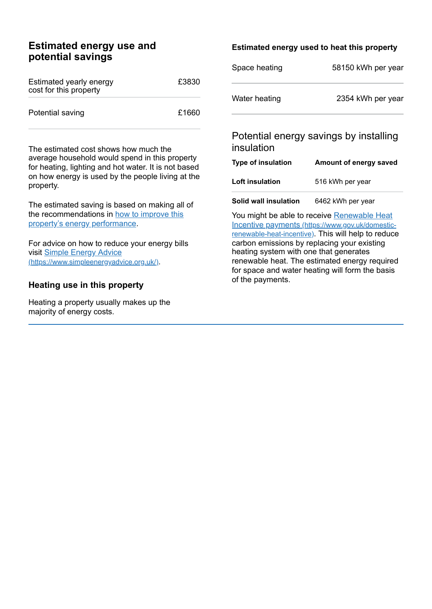## **Estimated energy use and potential savings**

| Estimated yearly energy<br>cost for this property | £3830 |
|---------------------------------------------------|-------|
| Potential saving                                  | £1660 |

The estimated cost shows how much the average household would spend in this property for heating, lighting and hot water. It is not based on how energy is used by the people living at the property.

The estimated saving is based on making all of the recommendations in how to improve this property's energy performance.

For advice on how to reduce your energy bills visit Simple Energy Advice (https://www.simpleenergyadvice.org.uk/).

#### **Heating use in this property**

Heating a property usually makes up the majority of energy costs.

#### **Estimated energy used to heat this property**

| Space heating | 58150 kWh per year |
|---------------|--------------------|
| Water heating | 2354 kWh per year  |

## Potential energy savings by installing insulation

| <b>Type of insulation</b> | Amount of energy saved |
|---------------------------|------------------------|
| <b>Loft insulation</b>    | 516 kWh per year       |
|                           |                        |

**Solid wall insulation** 6462 kWh per year

You might be able to receive Renewable Heat Incentive payments (https://www.gov.uk/domesticrenewable-heat-incentive). This will help to reduce carbon emissions by replacing your existing heating system with one that generates renewable heat. The estimated energy required for space and water heating will form the basis of the payments.